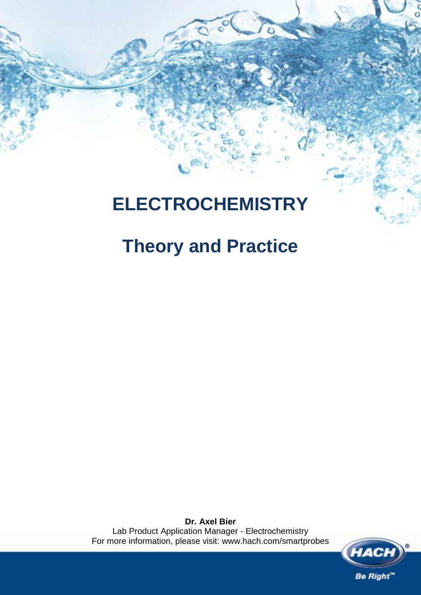# **ELECTROCHEMISTRY**

# **Theory and Practice**

**Dr. Axel Bier** Lab Product Application Manager - Electrochemistry For more information, please visit: www.hach.com/smartprobes

**Be Right**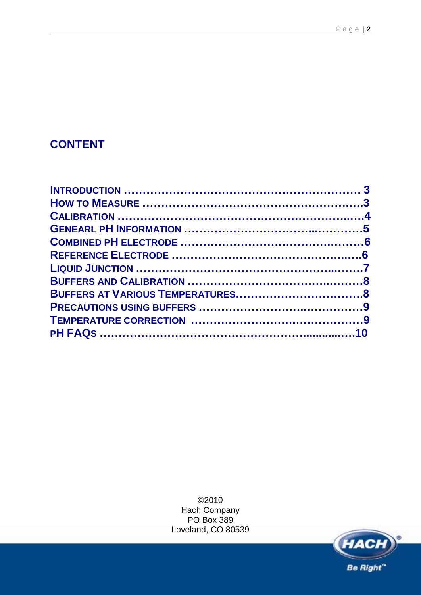## **CONTENT**

©2010 Hach Company PO Box 389 Loveland, CO 80539

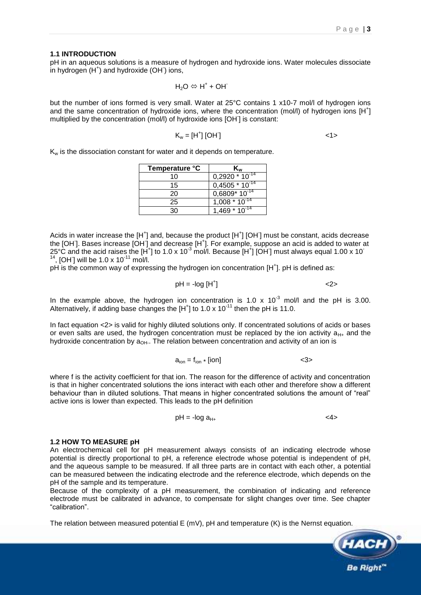#### **1.1 INTRODUCTION**

pH in an aqueous solutions is a measure of hydrogen and hydroxide ions. Water molecules dissociate .<br>in hydrogen (H<sup>+</sup>) and hydroxide (OH<sup>-</sup>) ions,

$$
H_2O\mathrel{\Leftrightarrow} H^+ \textbf{+} OH^-\,
$$

but the number of ions formed is very small. Water at 25°C contains 1 x10-7 mol/l of hydrogen ions and the same concentration of hydroxide ions, where the concentration (mol/l) of hydrogen ions  $[H^+]$ multiplied by the concentration (mol/l) of hydroxide ions [OH- ] is constant:

$$
K_w = [H^+][OH^-]
$$

K<sub>w</sub> is the dissociation constant for water and it depends on temperature.

| Temperature °C | Kw                  |
|----------------|---------------------|
| 10             | $0,2920 * 10^{-14}$ |
| 15             | $0,4505 * 10^{-14}$ |
| 20             | $0,6809*10^{14}$    |
| 25             | $1,008 * 10^{-14}$  |
|                | $1,469 * 10^{-14}$  |

Acids in water increase the  $[H^+]$  and, because the product  $[H^+]$  [OH<sup>-</sup>] must be constant, acids decrease the [OH]. Bases increase [OH] and decrease [H<sup>+</sup>]. For example, suppose an acid is added to water at 25°C and the acid raises the [H<sup>+</sup>] to 1.0 x 10<sup>-3</sup> mol/l. Because [H<sup>+</sup>] [OH] must always equal 1.00 x 10<sup>-1</sup> 14 , [OH<sup>-</sup>] will be 1.0 x 10<sup>-11</sup> mol/l.

pH is the common way of expressing the hydrogen ion concentration [H<sup>+</sup>]. pH is defined as:

$$
pH = -\log[H^+]
$$
  $\langle 2 \rangle$ 

In the example above, the hydrogen ion concentration is 1.0 x  $10^{-3}$  mol/l and the pH is 3.00. Alternatively, if adding base changes the  $[H^+]$  to 1.0 x 10<sup>-11</sup> then the pH is 11.0.

In fact equation <2> is valid for highly diluted solutions only. If concentrated solutions of acids or bases or even salts are used, the hydrogen concentration must be replaced by the ion activity  $a_{H+}$  and the hydroxide concentration by a<sub>OH</sub>.. The relation between concentration and activity of an ion is

$$
a_{\text{ion}} = f_{\text{ion}} * [\text{ion}]
$$

where f is the activity coefficient for that ion. The reason for the difference of activity and concentration is that in higher concentrated solutions the ions interact with each other and therefore show a different behaviour than in diluted solutions. That means in higher concentrated solutions the amount of "real" active ions is lower than expected. This leads to the pH definition

$$
pH = -\log a_{H+} \tag{4}
$$

#### **1.2 HOW TO MEASURE pH**

An electrochemical cell for pH measurement always consists of an indicating electrode whose potential is directly proportional to pH, a reference electrode whose potential is independent of pH, and the aqueous sample to be measured. If all three parts are in contact with each other, a potential can be measured between the indicating electrode and the reference electrode, which depends on the pH of the sample and its temperature.

Because of the complexity of a pH measurement, the combination of indicating and reference electrode must be calibrated in advance, to compensate for slight changes over time. See chapter "calibration".

The relation between measured potential E (mV), pH and temperature (K) is the Nernst equation.

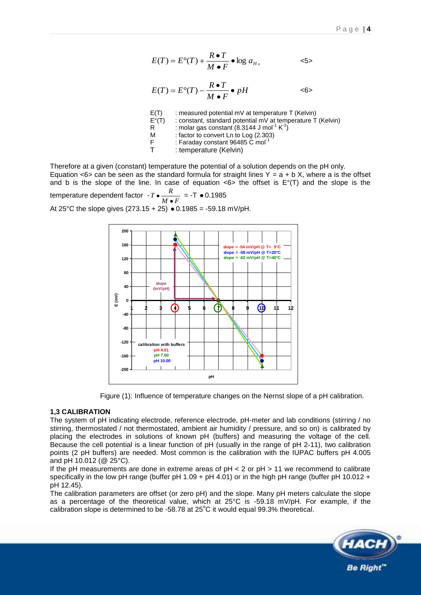$$
E(T) = E^{\circ}(T) + \frac{R \bullet T}{M \bullet F} \bullet \log a_{H+} \qquad \qquad \text{<5>}
$$

$$
E(T) = E^{\circ}(T) - \frac{R \bullet T}{M \bullet F} \bullet pH \qquad \text{&}\qquad \text{&}
$$

- $E(T)$  : measured potential mV at temperature T (Kelvin)
- E°(T) : constant, standard potential mV at temperature T (Kelvin)<br>R : molar gas constant (8.3144 J mol<sup>-1</sup> K<sup>-1</sup>)
- R  $\sim$  : molar gas constant (8.3144 J mol<sup>-1</sup> K<sup>-1</sup>)
- M : factor to convert Ln to Log (2.303)<br>F : Faraday constant 96485 C mol<sup>-1</sup>
- F : Faraday constant 96485 C mol<sup>-1</sup><br>T : temperature (Kelvin)
- : temperature (Kelvin)

Therefore at a given (constant) temperature the potential of a solution depends on the pH only. Equation  $\leq 6$  can be seen as the standard formula for straight lines Y = a + b X, where a is the offset and b is the slope of the line. In case of equation  $\langle 6 \rangle$  the offset is  $E^{\circ}(T)$  and the slope is the temperature dependent factor - *M F*  $T \cdot \frac{R}{T \cdot T} = -T \cdot 0.1985$ 

At 25°C the slope gives  $(273.15 + 25)$   $\bullet$  0.1985 = -59.18 mV/pH.



Figure (1): Influence of temperature changes on the Nernst slope of a pH calibration.

#### **1,3 CALIBRATION**

The system of pH indicating electrode, reference electrode, pH-meter and lab conditions (stirring / no stirring, thermostated / not thermostated, ambient air humidity / pressure, and so on) is calibrated by placing the electrodes in solutions of known pH (buffers) and measuring the voltage of the cell. Because the cell potential is a linear function of pH (usually in the range of pH 2-11), two calibration points (2 pH buffers) are needed. Most common is the calibration with the IUPAC buffers pH 4.005 and pH 10.012 (@ 25°C).

If the pH measurements are done in extreme areas of  $pH < 2$  or  $pH > 11$  we recommend to calibrate specifically in the low pH range (buffer pH 1.09 + pH 4.01) or in the high pH range (buffer pH 10.012 + pH 12.45).

The calibration parameters are offset (or zero pH) and the slope. Many pH meters calculate the slope as a percentage of the theoretical value, which at 25°C is -59.18 mV/pH. For example, if the calibration slope is determined to be -58.78 at  $25^{\circ}$ C it would equal 99.3% theoretical.

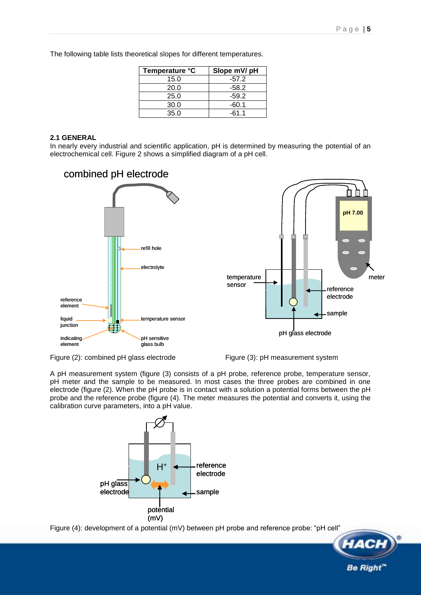**Be Right** 

The following table lists theoretical slopes for different temperatures.

| Temperature °C | Slope mV/ pH |
|----------------|--------------|
| 15.0           | $-57.2$      |
| 20.0           | -58.2        |
| 25.0           | $-59.2$      |
| 30.0           | $-60.1$      |
| 35.0           | -61.1        |

#### **2.1 GENERAL**

In nearly every industrial and scientific application, pH is determined by measuring the potential of an electrochemical cell. Figure 2 shows a simplified diagram of a pH cell.



Figure (2): combined pH glass electrode Figure (3): pH measurement system

A pH measurement system (figure (3) consists of a pH probe, reference probe, temperature sensor, pH meter and the sample to be measured. In most cases the three probes are combined in one electrode (figure (2). When the pH probe is in contact with a solution a potential forms between the pH probe and the reference probe (figure (4). The meter measures the potential and converts it, using the calibration curve parameters, into a pH value.



Figure (4): development of a potential (mV) between pH probe and reference probe: "pH cell"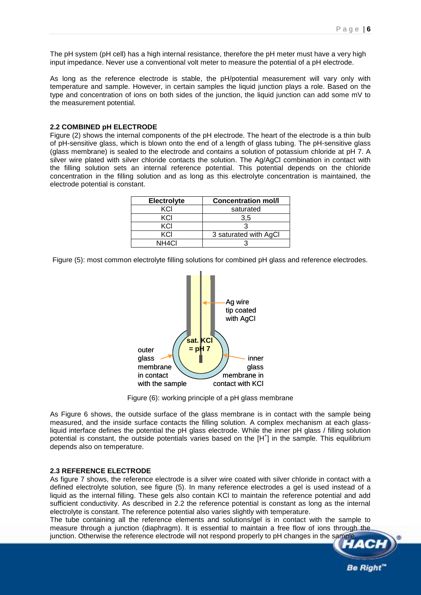The pH system (pH cell) has a high internal resistance, therefore the pH meter must have a very high input impedance. Never use a conventional volt meter to measure the potential of a pH electrode.

As long as the reference electrode is stable, the pH/potential measurement will vary only with temperature and sample. However, in certain samples the liquid junction plays a role. Based on the type and concentration of ions on both sides of the junction, the liquid junction can add some mV to the measurement potential.

#### **2.2 COMBINED pH ELECTRODE**

Figure (2) shows the internal components of the pH electrode. The heart of the electrode is a thin bulb of pH-sensitive glass, which is blown onto the end of a length of glass tubing. The pH-sensitive glass (glass membrane) is sealed to the electrode and contains a solution of potassium chloride at pH 7. A silver wire plated with silver chloride contacts the solution. The Ag/AgCl combination in contact with the filling solution sets an internal reference potential. This potential depends on the chloride concentration in the filling solution and as long as this electrolyte concentration is maintained, the electrode potential is constant.

| <b>Electrolyte</b> | <b>Concentration mol/l</b> |
|--------------------|----------------------------|
| KCI                | saturated                  |
| KCI                | 3.5                        |
| KCI                |                            |
| KCI                | 3 saturated with AgCl      |
| NH <sub>4CI</sub>  |                            |

Figure (5): most common electrolyte filling solutions for combined pH glass and reference electrodes.



Figure (6): working principle of a pH glass membrane

As Figure 6 shows, the outside surface of the glass membrane is in contact with the sample being measured, and the inside surface contacts the filling solution. A complex mechanism at each glassliquid interface defines the potential the pH glass electrode. While the inner pH glass / filling solution potential is constant, the outside potentials varies based on the [H<sup>+</sup>] in the sample. This equilibrium depends also on temperature.

#### **2.3 REFERENCE ELECTRODE**

As figure 7 shows, the reference electrode is a silver wire coated with silver chloride in contact with a defined electrolyte solution, see figure (5). In many reference electrodes a gel is used instead of a liquid as the internal filling. These gels also contain KCl to maintain the reference potential and add sufficient conductivity. As described in 2.2 the reference potential is constant as long as the internal electrolyte is constant. The reference potential also varies slightly with temperature.

The tube containing all the reference elements and solutions/gel is in contact with the sample to measure through a junction (diaphragm). It is essential to maintain a free flow of ions through the junction. Otherwise the reference electrode will not respond properly to pH changes in the sample

**Be Right**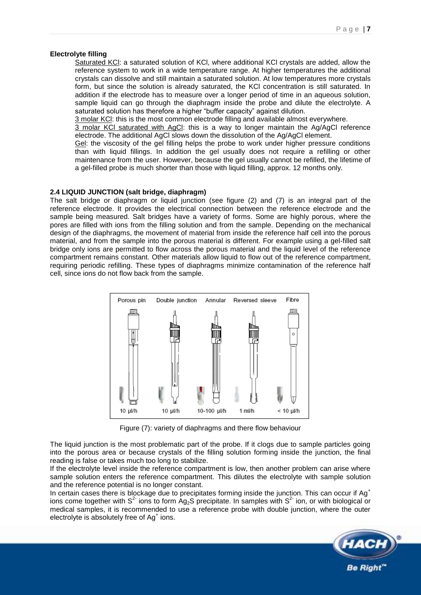#### **Electrolyte filling**

Saturated KCl: a saturated solution of KCl, where additional KCl crystals are added, allow the reference system to work in a wide temperature range. At higher temperatures the additional crystals can dissolve and still maintain a saturated solution. At low temperatures more crystals form, but since the solution is already saturated, the KCl concentration is still saturated. In addition if the electrode has to measure over a longer period of time in an aqueous solution, sample liquid can go through the diaphragm inside the probe and dilute the electrolyte. A saturated solution has therefore a higher "buffer capacity" against dilution.

3 molar KCl: this is the most common electrode filling and available almost everywhere.

3 molar KCl saturated with AgCl: this is a way to longer maintain the Ag/AgCl reference electrode. The additional AgCl slows down the dissolution of the Ag/AgCl element.

Gel: the viscosity of the gel filling helps the probe to work under higher pressure conditions than with liquid fillings. In addition the gel usually does not require a refilling or other maintenance from the user. However, because the gel usually cannot be refilled, the lifetime of a gel-filled probe is much shorter than those with liquid filling, approx. 12 months only.

#### **2.4 LIQUID JUNCTION (salt bridge, diaphragm)**

The salt bridge or diaphragm or liquid junction (see figure (2) and (7) is an integral part of the reference electrode. It provides the electrical connection between the reference electrode and the sample being measured. Salt bridges have a variety of forms. Some are highly porous, where the pores are filled with ions from the filling solution and from the sample. Depending on the mechanical design of the diaphragms, the movement of material from inside the reference half cell into the porous material, and from the sample into the porous material is different. For example using a gel-filled salt bridge only ions are permitted to flow across the porous material and the liquid level of the reference compartment remains constant. Other materials allow liquid to flow out of the reference compartment, requiring periodic refilling. These types of diaphragms minimize contamination of the reference half cell, since ions do not flow back from the sample.



Figure (7): variety of diaphragms and there flow behaviour

The liquid junction is the most problematic part of the probe. If it clogs due to sample particles going into the porous area or because crystals of the filling solution forming inside the junction, the final reading is false or takes much too long to stabilize.

If the electrolyte level inside the reference compartment is low, then another problem can arise where sample solution enters the reference compartment. This dilutes the electrolyte with sample solution and the reference potential is no longer constant.

In certain cases there is blockage due to precipitates forming inside the junction. This can occur if Ag<sup>+</sup> ions come together with S<sup>2-</sup> ions to form Ag<sub>2</sub>S precipitate. In samples with S<sup>2-</sup> ion, or with biological or medical samples, it is recommended to use a reference probe with double junction, where the outer electrolyte is absolutely free of Ag<sup>+</sup> ions.

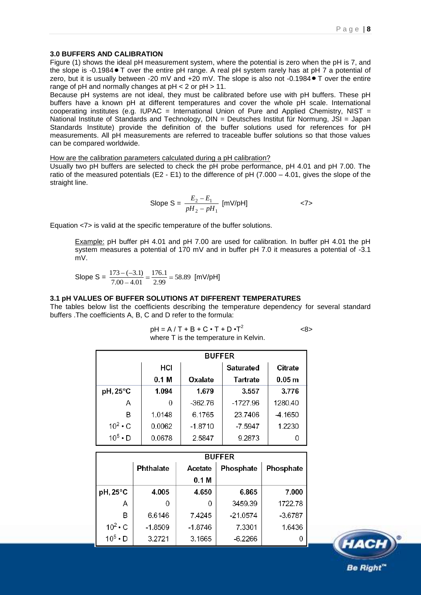#### **3.0 BUFFERS AND CALIBRATION**

Figure (1) shows the ideal pH measurement system, where the potential is zero when the pH is 7, and the slope is -0.1984 T over the entire pH range. A real pH system rarely has at pH 7 a potential of zero, but it is usually between -20 mV and +20 mV. The slope is also not -0.1984 • T over the entire range of pH and normally changes at  $pH < 2$  or  $pH > 11$ .

Because pH systems are not ideal, they must be calibrated before use with pH buffers. These pH buffers have a known pH at different temperatures and cover the whole pH scale. International cooperating institutes (e.g. IUPAC = International Union of Pure and Applied Chemistry, NIST = National Institute of Standards and Technology, DIN = Deutsches Institut für Normung, JSI = Japan Standards Institute) provide the definition of the buffer solutions used for references for pH measurements. All pH measurements are referred to traceable buffer solutions so that those values can be compared worldwide.

How are the calibration parameters calculated during a pH calibration?

Usually two pH buffers are selected to check the pH probe performance, pH 4.01 and pH 7.00. The ratio of the measured potentials (E2 - E1) to the difference of  $pH$  (7.000 – 4.01, gives the slope of the straight line.

Slope S = 
$$
\frac{E_2 - E_1}{pH_2 - pH_1}
$$
 [mV/pH]  $\langle 7 \rangle$ 

Equation <7> is valid at the specific temperature of the buffer solutions.

Example: pH buffer pH 4.01 and pH 7.00 are used for calibration. In buffer pH 4.01 the pH system measures a potential of 170 mV and in buffer pH 7.0 it measures a potential of -3.1 mV.

Slope S =  $\frac{173 \times 3.1}{7.00 - 4.01} = \frac{170.1}{2.99} = 58.89$ 176.1  $7.00 - 4.01$  $\frac{173 - (-3.1)}{2.00 \times 10^{-3}} = \frac{176.1}{2.00 \times 10^{-3}} = 58.89$  [mV/pH]

#### **3.1 pH VALUES OF BUFFER SOLUTIONS AT DIFFERENT TEMPERATURES**

The tables below list the coefficients describing the temperature dependency for several standard buffers .The coefficients A, B, C and D refer to the formula:

> $pH = A/T + B + C \cdot T + D \cdot T^2$ <8> where T is the temperature in Kelvin.

|                   | <b>BUFFER</b>    |           |                  |                   |
|-------------------|------------------|-----------|------------------|-------------------|
|                   | HCI              |           | <b>Saturated</b> | Citrate           |
|                   | 0.1 <sub>M</sub> | Oxalate   | Tartrate         | 0.05 <sub>m</sub> |
| $pH, 25^{\circ}C$ | 1.094            | 1.679     | 3.557            | 3.776             |
| A                 | 0                | $-362.76$ | -1727.96         | 1280.40           |
| B                 | 1.0148           | 6.1765    | 23.7406          | -4.1650           |
| $10^2 \cdot C$    | 0.0062           | $-1.8710$ | -7.5947          | 1.2230            |
| $10^5 \cdot D$    | 0.0678           | 2.5847    | 9.2873           |                   |

|                   | <b>BUFFER</b> |                  |            |           |
|-------------------|---------------|------------------|------------|-----------|
|                   | Phthalate     | Acetate          | Phosphate  | Phosphate |
|                   |               | 0.1 <sub>M</sub> |            |           |
| $pH, 25^{\circ}C$ | 4.005         | 4.650            | 6.865      | 7.000     |
| A                 |               | 0                | 3459.39    | 1722.78   |
| в                 | 6.6146        | 7.4245           | $-21.0574$ | $-3.6787$ |
| $10^2 \cdot C$    | $-1.8509$     | $-1.8746$        | 7.3301     | 1.6436    |
| $10^5 \cdot D$    | 3.2721        | 3.1665           | $-6.2266$  |           |

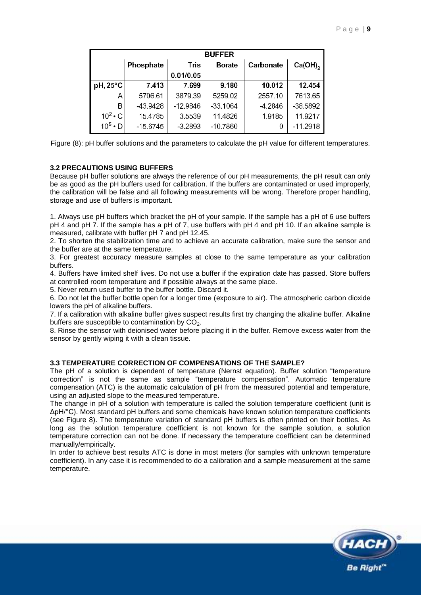|                   | <b>BUFFER</b> |            |               |           |              |
|-------------------|---------------|------------|---------------|-----------|--------------|
|                   | Phosphate     | Tris       | <b>Borate</b> | Carbonate | $Ca(OH)_{2}$ |
|                   |               | 0.01/0.05  |               |           |              |
| $pH, 25^{\circ}C$ | 7.413         | 7.699      | 9.180         | 10.012    | 12.454       |
| A                 | 5706.61       | 3879.39    | 5259.02       | 2557.10   | 7613.65      |
| в                 | -43.9428      | $-12.9846$ | $-33.1064$    | -4.2846   | -38.5892     |
| $10^2 \cdot C$    | 15.4785       | 3.5539     | 11.4826       | 1.9185    | 11.9217      |
| $10^5 \cdot D$    | $-15.6745$    | $-3.2893$  | $-10.7860$    | 0         | $-11.2918$   |

Figure (8): pH buffer solutions and the parameters to calculate the pH value for different temperatures.

#### **3.2 PRECAUTIONS USING BUFFERS**

Because pH buffer solutions are always the reference of our pH measurements, the pH result can only be as good as the pH buffers used for calibration. If the buffers are contaminated or used improperly, the calibration will be false and all following measurements will be wrong. Therefore proper handling, storage and use of buffers is important.

1. Always use pH buffers which bracket the pH of your sample. If the sample has a pH of 6 use buffers pH 4 and pH 7. If the sample has a pH of 7, use buffers with pH 4 and pH 10. If an alkaline sample is measured, calibrate with buffer pH 7 and pH 12.45.

2. To shorten the stabilization time and to achieve an accurate calibration, make sure the sensor and the buffer are at the same temperature.

3. For greatest accuracy measure samples at close to the same temperature as your calibration buffers.

4. Buffers have limited shelf lives. Do not use a buffer if the expiration date has passed. Store buffers at controlled room temperature and if possible always at the same place.

5. Never return used buffer to the buffer bottle. Discard it.

6. Do not let the buffer bottle open for a longer time (exposure to air). The atmospheric carbon dioxide lowers the pH of alkaline buffers.

7. If a calibration with alkaline buffer gives suspect results first try changing the alkaline buffer. Alkaline buffers are susceptible to contamination by  $CO<sub>2</sub>$ .

8. Rinse the sensor with deionised water before placing it in the buffer. Remove excess water from the sensor by gently wiping it with a clean tissue.

#### **3.3 TEMPERATURE CORRECTION OF COMPENSATIONS OF THE SAMPLE?**

The pH of a solution is dependent of temperature (Nernst equation). Buffer solution "temperature correction" is not the same as sample "temperature compensation". Automatic temperature compensation (ATC) is the automatic calculation of pH from the measured potential and temperature, using an adjusted slope to the measured temperature.

The change in pH of a solution with temperature is called the solution temperature coefficient (unit is ΔpH/°C). Most standard pH buffers and some chemicals have known solution temperature coefficients (see Figure 8). The temperature variation of standard pH buffers is often printed on their bottles. As long as the solution temperature coefficient is not known for the sample solution, a solution temperature correction can not be done. If necessary the temperature coefficient can be determined manually/empirically.

In order to achieve best results ATC is done in most meters (for samples with unknown temperature coefficient). In any case it is recommended to do a calibration and a sample measurement at the same temperature.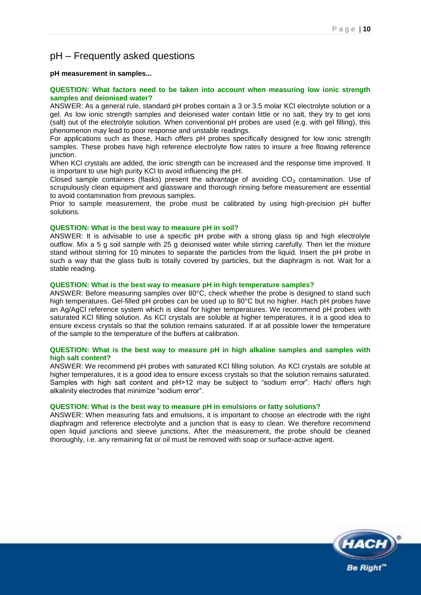### pH – Frequently asked questions

**pH measurement in samples...**

#### **QUESTION: What factors need to be taken into account when measuring low ionic strength samples and deionised water?**

ANSWER: As a general rule, standard pH probes contain a 3 or 3.5 molar KCl electrolyte solution or a gel. As low ionic strength samples and deionised water contain little or no salt, they try to get ions (salt) out of the electrolyte solution. When conventional pH probes are used (e.g. with gel filling), this phenomenon may lead to poor response and unstable readings.

For applications such as these, Hach offers pH probes specifically designed for low ionic strength samples. These probes have high reference electrolyte flow rates to insure a free flowing reference junction.

When KCl crystals are added, the ionic strength can be increased and the response time improved. It is important to use high purity KCl to avoid influencing the pH.

Closed sample containers (flasks) present the advantage of avoiding  $CO<sub>2</sub>$  contamination. Use of scrupulously clean equipment and glassware and thorough rinsing before measurement are essential to avoid contamination from previous samples.

Prior to sample measurement, the probe must be calibrated by using high-precision pH buffer solutions.

#### **QUESTION: What is the best way to measure pH in soil?**

ANSWER: It is advisable to use a specific pH probe with a strong glass tip and high electrolyte outflow. Mix a 5 g soil sample with 25 g deionised water while stirring carefully. Then let the mixture stand without stirring for 10 minutes to separate the particles from the liquid. Insert the pH probe in such a way that the glass bulb is totally covered by particles, but the diaphragm is not. Wait for a stable reading.

#### **QUESTION: What is the best way to measure pH in high temperature samples?**

ANSWER: Before measuring samples over 80°C, check whether the probe is designed to stand such high temperatures. Gel-filled pH probes can be used up to 80°C but no higher. Hach pH probes have an Ag/AgCl reference system which is ideal for higher temperatures. We recommend pH probes with saturated KCl filling solution. As KCl crystals are soluble at higher temperatures, it is a good idea to ensure excess crystals so that the solution remains saturated. If at all possible lower the temperature of the sample to the temperature of the buffers at calibration.

#### **QUESTION: What is the best way to measure pH in high alkaline samples and samples with high salt content?**

ANSWER: We recommend pH probes with saturated KCl filling solution. As KCl crystals are soluble at higher temperatures, it is a good idea to ensure excess crystals so that the solution remains saturated. Samples with high salt content and pH>12 may be subject to "sodium error". Hach/ offers high alkalinity electrodes that minimize "sodium error".

#### **QUESTION: What is the best way to measure pH in emulsions or fatty solutions?**

ANSWER: When measuring fats and emulsions, it is important to choose an electrode with the right diaphragm and reference electrolyte and a junction that is easy to clean. We therefore recommend open liquid junctions and sleeve junctions. After the measurement, the probe should be cleaned thoroughly, i.e. any remaining fat or oil must be removed with soap or surface-active agent.

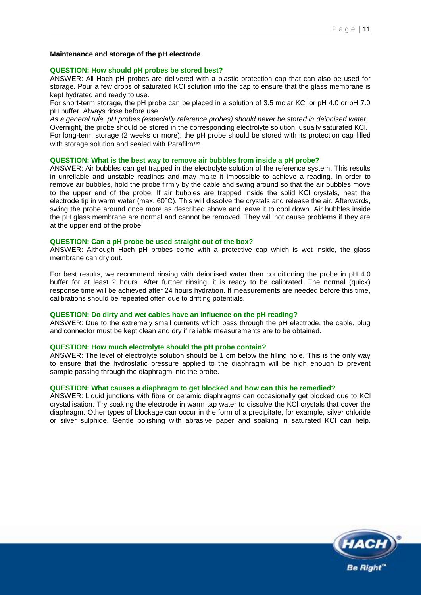#### **Maintenance and storage of the pH electrode**

#### **QUESTION: How should pH probes be stored best?**

ANSWER: All Hach pH probes are delivered with a plastic protection cap that can also be used for storage. Pour a few drops of saturated KCl solution into the cap to ensure that the glass membrane is kept hydrated and ready to use.

For short-term storage, the pH probe can be placed in a solution of 3.5 molar KCl or pH 4.0 or pH 7.0 pH buffer. Always rinse before use.

*As a general rule, pH probes (especially reference probes) should never be stored in deionised water.* Overnight, the probe should be stored in the corresponding electrolyte solution, usually saturated KCl. For long-term storage (2 weeks or more), the pH probe should be stored with its protection cap filled with storage solution and sealed with Parafilm<sup>TM</sup>.

#### **QUESTION: What is the best way to remove air bubbles from inside a pH probe?**

ANSWER: Air bubbles can get trapped in the electrolyte solution of the reference system. This results in unreliable and unstable readings and may make it impossible to achieve a reading. In order to remove air bubbles, hold the probe firmly by the cable and swing around so that the air bubbles move to the upper end of the probe. If air bubbles are trapped inside the solid KCl crystals, heat the electrode tip in warm water (max. 60°C). This will dissolve the crystals and release the air. Afterwards, swing the probe around once more as described above and leave it to cool down. Air bubbles inside the pH glass membrane are normal and cannot be removed. They will not cause problems if they are at the upper end of the probe.

#### **QUESTION: Can a pH probe be used straight out of the box?**

ANSWER: Although Hach pH probes come with a protective cap which is wet inside, the glass membrane can dry out.

For best results, we recommend rinsing with deionised water then conditioning the probe in pH 4.0 buffer for at least 2 hours. After further rinsing, it is ready to be calibrated. The normal (quick) response time will be achieved after 24 hours hydration. If measurements are needed before this time, calibrations should be repeated often due to drifting potentials.

#### **QUESTION: Do dirty and wet cables have an influence on the pH reading?**

ANSWER: Due to the extremely small currents which pass through the pH electrode, the cable, plug and connector must be kept clean and dry if reliable measurements are to be obtained.

#### **QUESTION: How much electrolyte should the pH probe contain?**

ANSWER: The level of electrolyte solution should be 1 cm below the filling hole. This is the only way to ensure that the hydrostatic pressure applied to the diaphragm will be high enough to prevent sample passing through the diaphragm into the probe.

#### **QUESTION: What causes a diaphragm to get blocked and how can this be remedied?**

ANSWER: Liquid junctions with fibre or ceramic diaphragms can occasionally get blocked due to KCl crystallisation. Try soaking the electrode in warm tap water to dissolve the KCl crystals that cover the diaphragm. Other types of blockage can occur in the form of a precipitate, for example, silver chloride or silver sulphide. Gentle polishing with abrasive paper and soaking in saturated KCl can help.

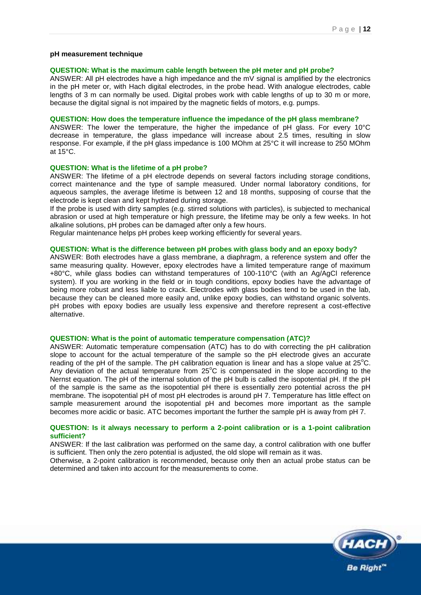#### **pH measurement technique**

#### **QUESTION: What is the maximum cable length between the pH meter and pH probe?**

ANSWER: All pH electrodes have a high impedance and the mV signal is amplified by the electronics in the pH meter or, with Hach digital electrodes, in the probe head. With analogue electrodes, cable lengths of 3 m can normally be used. Digital probes work with cable lengths of up to 30 m or more, because the digital signal is not impaired by the magnetic fields of motors, e.g. pumps.

#### **QUESTION: How does the temperature influence the impedance of the pH glass membrane?**

ANSWER: The lower the temperature, the higher the impedance of pH glass. For every 10°C decrease in temperature, the glass impedance will increase about 2.5 times, resulting in slow response. For example, if the pH glass impedance is 100 MOhm at 25°C it will increase to 250 MOhm at 15°C.

#### **QUESTION: What is the lifetime of a pH probe?**

ANSWER: The lifetime of a pH electrode depends on several factors including storage conditions, correct maintenance and the type of sample measured. Under normal laboratory conditions, for aqueous samples, the average lifetime is between 12 and 18 months, supposing of course that the electrode is kept clean and kept hydrated during storage.

If the probe is used with dirty samples (e.g. stirred solutions with particles), is subjected to mechanical abrasion or used at high temperature or high pressure, the lifetime may be only a few weeks. In hot alkaline solutions, pH probes can be damaged after only a few hours.

Regular maintenance helps pH probes keep working efficiently for several years.

#### **QUESTION: What is the difference between pH probes with glass body and an epoxy body?**

ANSWER: Both electrodes have a glass membrane, a diaphragm, a reference system and offer the same measuring quality. However, epoxy electrodes have a limited temperature range of maximum +80°C, while glass bodies can withstand temperatures of 100-110°C (with an Ag/AgCl reference system). If you are working in the field or in tough conditions, epoxy bodies have the advantage of being more robust and less liable to crack. Electrodes with glass bodies tend to be used in the lab, because they can be cleaned more easily and, unlike epoxy bodies, can withstand organic solvents. pH probes with epoxy bodies are usually less expensive and therefore represent a cost-effective alternative.

#### **QUESTION: What is the point of automatic temperature compensation (ATC)?**

ANSWER: Automatic temperature compensation (ATC) has to do with correcting the pH calibration slope to account for the actual temperature of the sample so the pH electrode gives an accurate reading of the pH of the sample. The pH calibration equation is linear and has a slope value at  $25^{\circ}$ C. Any deviation of the actual temperature from  $25^{\circ}$ C is compensated in the slope according to the Nernst equation. The pH of the internal solution of the pH bulb is called the isopotential pH. If the pH of the sample is the same as the isopotential pH there is essentially zero potential across the pH membrane. The isopotential pH of most pH electrodes is around pH 7. Temperature has little effect on sample measurement around the isopotential pH and becomes more important as the sample becomes more acidic or basic. ATC becomes important the further the sample pH is away from pH 7.

#### **QUESTION: Is it always necessary to perform a 2-point calibration or is a 1-point calibration sufficient?**

ANSWER: If the last calibration was performed on the same day, a control calibration with one buffer is sufficient. Then only the zero potential is adjusted, the old slope will remain as it was.

Otherwise, a 2-point calibration is recommended, because only then an actual probe status can be determined and taken into account for the measurements to come.